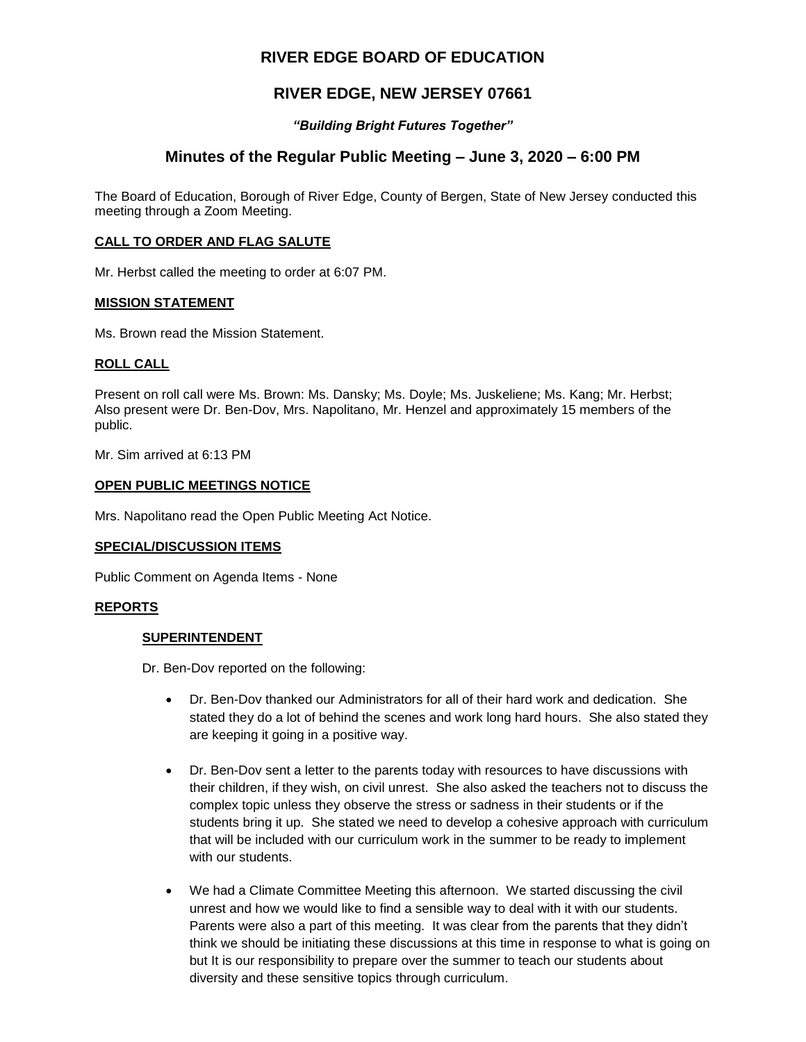# **RIVER EDGE BOARD OF EDUCATION**

# **RIVER EDGE, NEW JERSEY 07661**

# *"Building Bright Futures Together"*

# **Minutes of the Regular Public Meeting – June 3, 2020 – 6:00 PM**

The Board of Education, Borough of River Edge, County of Bergen, State of New Jersey conducted this meeting through a Zoom Meeting.

### **CALL TO ORDER AND FLAG SALUTE**

Mr. Herbst called the meeting to order at 6:07 PM.

#### **MISSION STATEMENT**

Ms. Brown read the Mission Statement.

### **ROLL CALL**

Present on roll call were Ms. Brown: Ms. Dansky; Ms. Doyle; Ms. Juskeliene; Ms. Kang; Mr. Herbst; Also present were Dr. Ben-Dov, Mrs. Napolitano, Mr. Henzel and approximately 15 members of the public.

Mr. Sim arrived at 6:13 PM

### **OPEN PUBLIC MEETINGS NOTICE**

Mrs. Napolitano read the Open Public Meeting Act Notice.

### **SPECIAL/DISCUSSION ITEMS**

Public Comment on Agenda Items - None

### **REPORTS**

### **SUPERINTENDENT**

Dr. Ben-Dov reported on the following:

- Dr. Ben-Dov thanked our Administrators for all of their hard work and dedication. She stated they do a lot of behind the scenes and work long hard hours. She also stated they are keeping it going in a positive way.
- Dr. Ben-Dov sent a letter to the parents today with resources to have discussions with their children, if they wish, on civil unrest. She also asked the teachers not to discuss the complex topic unless they observe the stress or sadness in their students or if the students bring it up. She stated we need to develop a cohesive approach with curriculum that will be included with our curriculum work in the summer to be ready to implement with our students.
- We had a Climate Committee Meeting this afternoon. We started discussing the civil unrest and how we would like to find a sensible way to deal with it with our students. Parents were also a part of this meeting. It was clear from the parents that they didn't think we should be initiating these discussions at this time in response to what is going on but It is our responsibility to prepare over the summer to teach our students about diversity and these sensitive topics through curriculum.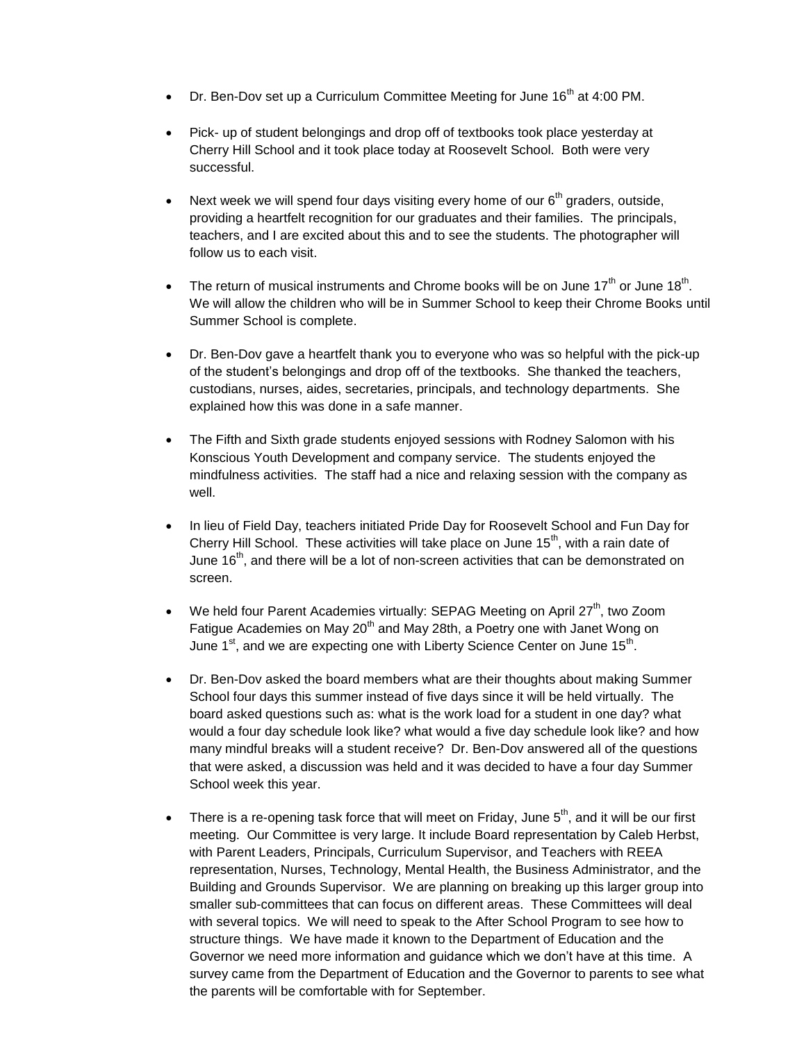- Dr. Ben-Dov set up a Curriculum Committee Meeting for June 16<sup>th</sup> at 4:00 PM.
- Pick- up of student belongings and drop off of textbooks took place yesterday at Cherry Hill School and it took place today at Roosevelt School. Both were very successful.
- Next week we will spend four days visiting every home of our  $6<sup>th</sup>$  graders, outside, providing a heartfelt recognition for our graduates and their families. The principals, teachers, and I are excited about this and to see the students. The photographer will follow us to each visit.
- The return of musical instruments and Chrome books will be on June 17<sup>th</sup> or June 18<sup>th</sup>. We will allow the children who will be in Summer School to keep their Chrome Books until Summer School is complete.
- Dr. Ben-Dov gave a heartfelt thank you to everyone who was so helpful with the pick-up of the student's belongings and drop off of the textbooks. She thanked the teachers, custodians, nurses, aides, secretaries, principals, and technology departments. She explained how this was done in a safe manner.
- The Fifth and Sixth grade students enjoyed sessions with Rodney Salomon with his Konscious Youth Development and company service. The students enjoyed the mindfulness activities. The staff had a nice and relaxing session with the company as well.
- In lieu of Field Day, teachers initiated Pride Day for Roosevelt School and Fun Day for Cherry Hill School. These activities will take place on June  $15<sup>th</sup>$ , with a rain date of June  $16<sup>th</sup>$ , and there will be a lot of non-screen activities that can be demonstrated on screen.
- We held four Parent Academies virtually: SEPAG Meeting on April  $27<sup>th</sup>$ , two Zoom Fatigue Academies on May 20<sup>th</sup> and May 28th, a Poetry one with Janet Wong on June 1<sup>st</sup>, and we are expecting one with Liberty Science Center on June 15<sup>th</sup>.
- Dr. Ben-Dov asked the board members what are their thoughts about making Summer School four days this summer instead of five days since it will be held virtually. The board asked questions such as: what is the work load for a student in one day? what would a four day schedule look like? what would a five day schedule look like? and how many mindful breaks will a student receive? Dr. Ben-Dov answered all of the questions that were asked, a discussion was held and it was decided to have a four day Summer School week this year.
- There is a re-opening task force that will meet on Friday, June  $5<sup>th</sup>$ , and it will be our first meeting. Our Committee is very large. It include Board representation by Caleb Herbst, with Parent Leaders, Principals, Curriculum Supervisor, and Teachers with REEA representation, Nurses, Technology, Mental Health, the Business Administrator, and the Building and Grounds Supervisor. We are planning on breaking up this larger group into smaller sub-committees that can focus on different areas. These Committees will deal with several topics. We will need to speak to the After School Program to see how to structure things. We have made it known to the Department of Education and the Governor we need more information and guidance which we don't have at this time. A survey came from the Department of Education and the Governor to parents to see what the parents will be comfortable with for September.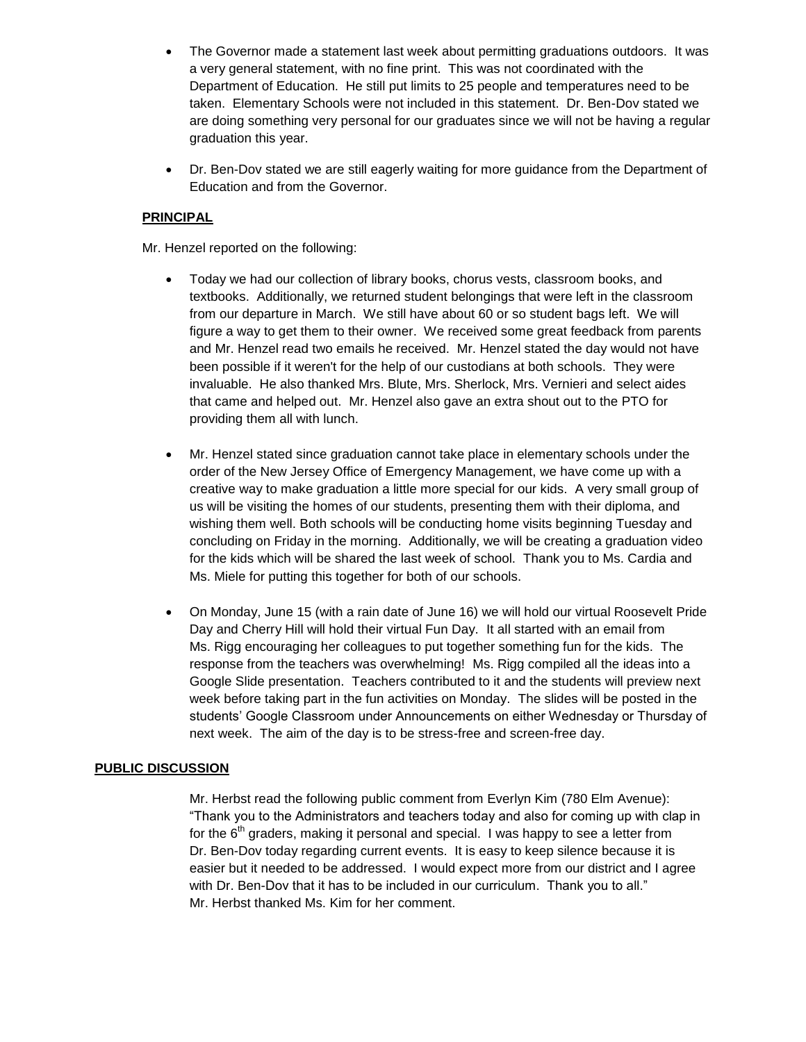- The Governor made a statement last week about permitting graduations outdoors. It was a very general statement, with no fine print. This was not coordinated with the Department of Education. He still put limits to 25 people and temperatures need to be taken. Elementary Schools were not included in this statement. Dr. Ben-Dov stated we are doing something very personal for our graduates since we will not be having a regular graduation this year.
- Dr. Ben-Dov stated we are still eagerly waiting for more guidance from the Department of Education and from the Governor.

# **PRINCIPAL**

Mr. Henzel reported on the following:

- Today we had our collection of library books, chorus vests, classroom books, and textbooks. Additionally, we returned student belongings that were left in the classroom from our departure in March. We still have about 60 or so student bags left. We will figure a way to get them to their owner. We received some great feedback from parents and Mr. Henzel read two emails he received. Mr. Henzel stated the day would not have been possible if it weren't for the help of our custodians at both schools. They were invaluable. He also thanked Mrs. Blute, Mrs. Sherlock, Mrs. Vernieri and select aides that came and helped out. Mr. Henzel also gave an extra shout out to the PTO for providing them all with lunch.
- Mr. Henzel stated since graduation cannot take place in elementary schools under the order of the New Jersey Office of Emergency Management, we have come up with a creative way to make graduation a little more special for our kids. A very small group of us will be visiting the homes of our students, presenting them with their diploma, and wishing them well. Both schools will be conducting home visits beginning Tuesday and concluding on Friday in the morning. Additionally, we will be creating a graduation video for the kids which will be shared the last week of school. Thank you to Ms. Cardia and Ms. Miele for putting this together for both of our schools.
- On Monday, June 15 (with a rain date of June 16) we will hold our virtual Roosevelt Pride Day and Cherry Hill will hold their virtual Fun Day. It all started with an email from Ms. Rigg encouraging her colleagues to put together something fun for the kids. The response from the teachers was overwhelming! Ms. Rigg compiled all the ideas into a Google Slide presentation. Teachers contributed to it and the students will preview next week before taking part in the fun activities on Monday. The slides will be posted in the students' Google Classroom under Announcements on either Wednesday or Thursday of next week. The aim of the day is to be stress-free and screen-free day.

# **PUBLIC DISCUSSION**

Mr. Herbst read the following public comment from Everlyn Kim (780 Elm Avenue): "Thank you to the Administrators and teachers today and also for coming up with clap in for the  $6<sup>th</sup>$  graders, making it personal and special. I was happy to see a letter from Dr. Ben-Dov today regarding current events. It is easy to keep silence because it is easier but it needed to be addressed. I would expect more from our district and I agree with Dr. Ben-Dov that it has to be included in our curriculum. Thank you to all." Mr. Herbst thanked Ms. Kim for her comment.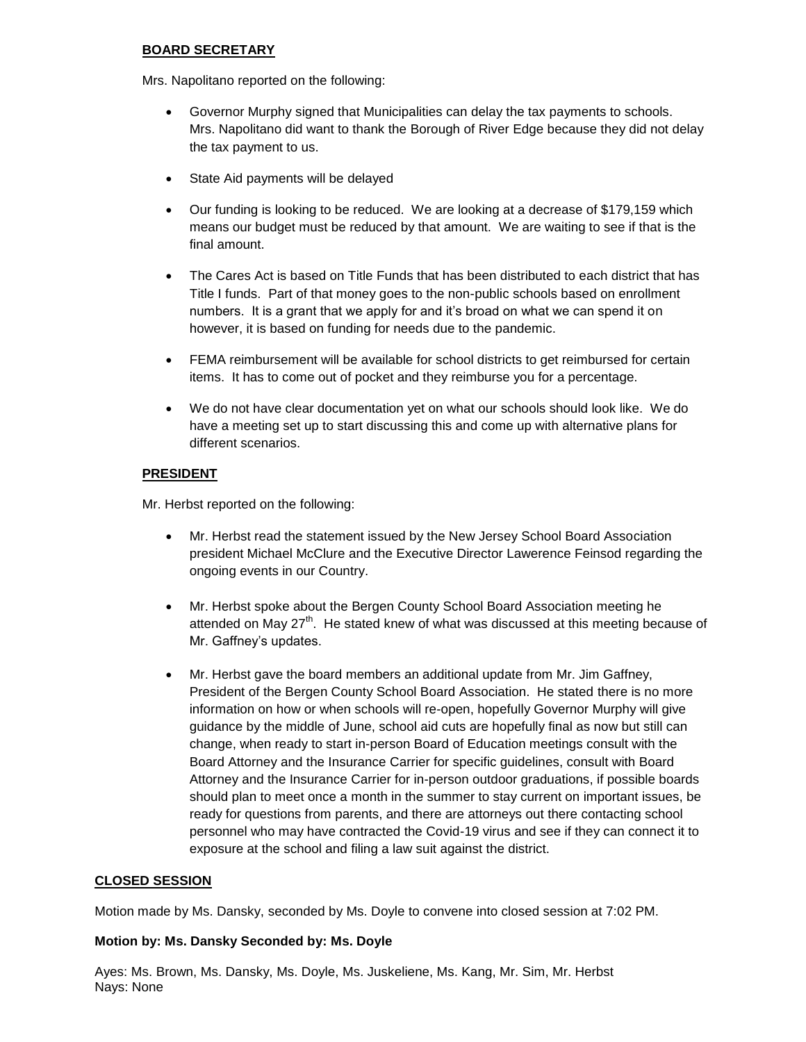# **BOARD SECRETARY**

Mrs. Napolitano reported on the following:

- Governor Murphy signed that Municipalities can delay the tax payments to schools. Mrs. Napolitano did want to thank the Borough of River Edge because they did not delay the tax payment to us.
- State Aid payments will be delayed
- Our funding is looking to be reduced. We are looking at a decrease of \$179,159 which means our budget must be reduced by that amount. We are waiting to see if that is the final amount.
- The Cares Act is based on Title Funds that has been distributed to each district that has Title I funds. Part of that money goes to the non-public schools based on enrollment numbers. It is a grant that we apply for and it's broad on what we can spend it on however, it is based on funding for needs due to the pandemic.
- FEMA reimbursement will be available for school districts to get reimbursed for certain items. It has to come out of pocket and they reimburse you for a percentage.
- We do not have clear documentation yet on what our schools should look like. We do have a meeting set up to start discussing this and come up with alternative plans for different scenarios.

# **PRESIDENT**

Mr. Herbst reported on the following:

- Mr. Herbst read the statement issued by the New Jersey School Board Association president Michael McClure and the Executive Director Lawerence Feinsod regarding the ongoing events in our Country.
- Mr. Herbst spoke about the Bergen County School Board Association meeting he attended on May  $27<sup>th</sup>$ . He stated knew of what was discussed at this meeting because of Mr. Gaffney's updates.
- Mr. Herbst gave the board members an additional update from Mr. Jim Gaffney, President of the Bergen County School Board Association. He stated there is no more information on how or when schools will re-open, hopefully Governor Murphy will give guidance by the middle of June, school aid cuts are hopefully final as now but still can change, when ready to start in-person Board of Education meetings consult with the Board Attorney and the Insurance Carrier for specific guidelines, consult with Board Attorney and the Insurance Carrier for in-person outdoor graduations, if possible boards should plan to meet once a month in the summer to stay current on important issues, be ready for questions from parents, and there are attorneys out there contacting school personnel who may have contracted the Covid-19 virus and see if they can connect it to exposure at the school and filing a law suit against the district.

# **CLOSED SESSION**

Motion made by Ms. Dansky, seconded by Ms. Doyle to convene into closed session at 7:02 PM.

### **Motion by: Ms. Dansky Seconded by: Ms. Doyle**

Ayes: Ms. Brown, Ms. Dansky, Ms. Doyle, Ms. Juskeliene, Ms. Kang, Mr. Sim, Mr. Herbst Nays: None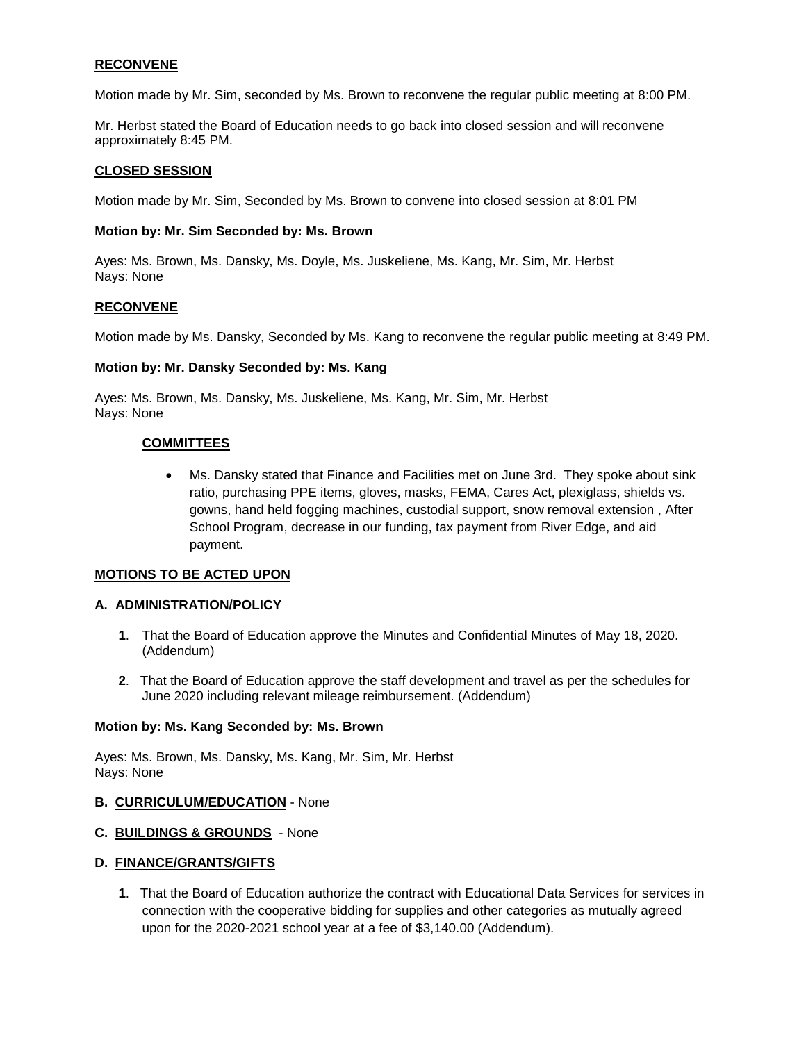# **RECONVENE**

Motion made by Mr. Sim, seconded by Ms. Brown to reconvene the regular public meeting at 8:00 PM.

Mr. Herbst stated the Board of Education needs to go back into closed session and will reconvene approximately 8:45 PM.

#### **CLOSED SESSION**

Motion made by Mr. Sim, Seconded by Ms. Brown to convene into closed session at 8:01 PM

#### **Motion by: Mr. Sim Seconded by: Ms. Brown**

Ayes: Ms. Brown, Ms. Dansky, Ms. Doyle, Ms. Juskeliene, Ms. Kang, Mr. Sim, Mr. Herbst Nays: None

#### **RECONVENE**

Motion made by Ms. Dansky, Seconded by Ms. Kang to reconvene the regular public meeting at 8:49 PM.

#### **Motion by: Mr. Dansky Seconded by: Ms. Kang**

Ayes: Ms. Brown, Ms. Dansky, Ms. Juskeliene, Ms. Kang, Mr. Sim, Mr. Herbst Nays: None

#### **COMMITTEES**

 Ms. Dansky stated that Finance and Facilities met on June 3rd. They spoke about sink ratio, purchasing PPE items, gloves, masks, FEMA, Cares Act, plexiglass, shields vs. gowns, hand held fogging machines, custodial support, snow removal extension , After School Program, decrease in our funding, tax payment from River Edge, and aid payment.

### **MOTIONS TO BE ACTED UPON**

#### **A. ADMINISTRATION/POLICY**

- **1**. That the Board of Education approve the Minutes and Confidential Minutes of May 18, 2020. (Addendum)
- **2**. That the Board of Education approve the staff development and travel as per the schedules for June 2020 including relevant mileage reimbursement. (Addendum)

#### **Motion by: Ms. Kang Seconded by: Ms. Brown**

Ayes: Ms. Brown, Ms. Dansky, Ms. Kang, Mr. Sim, Mr. Herbst Nays: None

#### **B. CURRICULUM/EDUCATION** - None

### **C. BUILDINGS & GROUNDS** - None

#### **D. FINANCE/GRANTS/GIFTS**

**1**. That the Board of Education authorize the contract with Educational Data Services for services in connection with the cooperative bidding for supplies and other categories as mutually agreed upon for the 2020-2021 school year at a fee of \$3,140.00 (Addendum).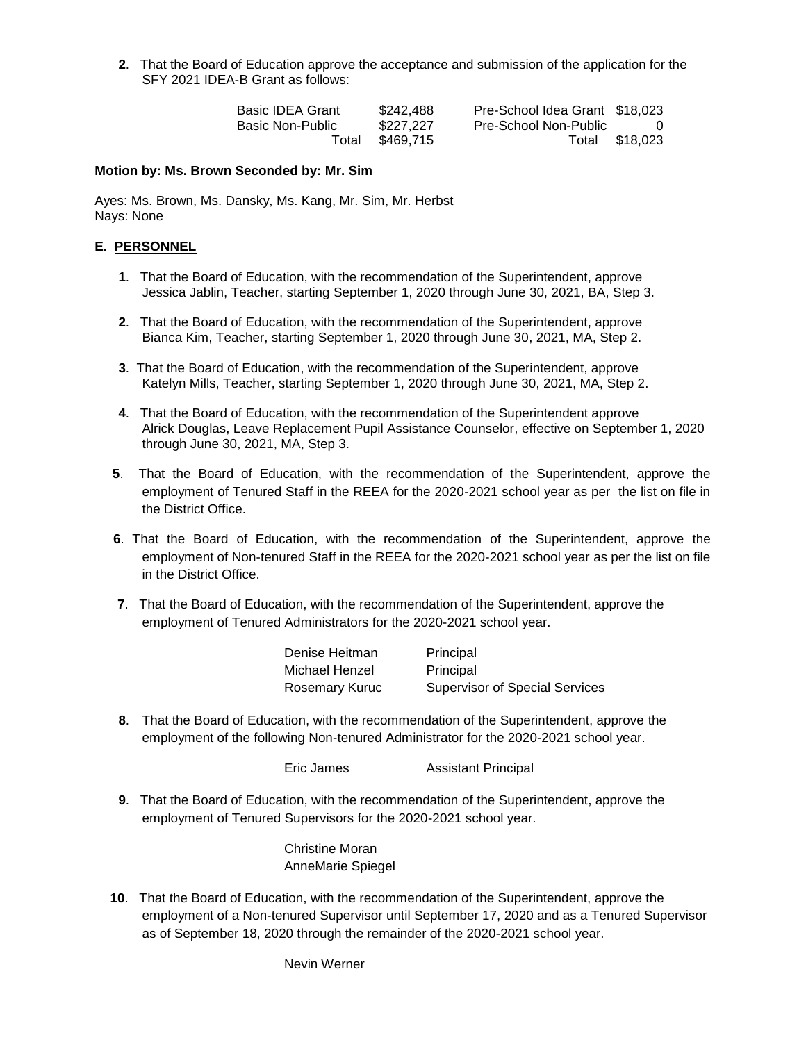**2**. That the Board of Education approve the acceptance and submission of the application for the SFY 2021 IDEA-B Grant as follows:

| <b>Basic IDEA Grant</b> | \$242.488 | Pre-School Idea Grant \$18,023 |                |
|-------------------------|-----------|--------------------------------|----------------|
| Basic Non-Public        | \$227,227 | Pre-School Non-Public          | - 0            |
| Total                   | \$469.715 |                                | Total \$18,023 |

#### **Motion by: Ms. Brown Seconded by: Mr. Sim**

Ayes: Ms. Brown, Ms. Dansky, Ms. Kang, Mr. Sim, Mr. Herbst Nays: None

### **E. PERSONNEL**

- **1**. That the Board of Education, with the recommendation of the Superintendent, approve Jessica Jablin, Teacher, starting September 1, 2020 through June 30, 2021, BA, Step 3.
- **2**. That the Board of Education, with the recommendation of the Superintendent, approve Bianca Kim, Teacher, starting September 1, 2020 through June 30, 2021, MA, Step 2.
- **3**. That the Board of Education, with the recommendation of the Superintendent, approve Katelyn Mills, Teacher, starting September 1, 2020 through June 30, 2021, MA, Step 2.
- **4**. That the Board of Education, with the recommendation of the Superintendent approve Alrick Douglas, Leave Replacement Pupil Assistance Counselor, effective on September 1, 2020 through June 30, 2021, MA, Step 3.
- **5**. That the Board of Education, with the recommendation of the Superintendent, approve the employment of Tenured Staff in the REEA for the 2020-2021 school year as per the list on file in the District Office.
- **6**. That the Board of Education, with the recommendation of the Superintendent, approve the employment of Non-tenured Staff in the REEA for the 2020-2021 school year as per the list on file in the District Office.
- **7**. That the Board of Education, with the recommendation of the Superintendent, approve the employment of Tenured Administrators for the 2020-2021 school year.

| Denise Heitman | Principal                             |
|----------------|---------------------------------------|
| Michael Henzel | Principal                             |
| Rosemary Kuruc | <b>Supervisor of Special Services</b> |

**8**. That the Board of Education, with the recommendation of the Superintendent, approve the employment of the following Non-tenured Administrator for the 2020-2021 school year.

Eric James Assistant Principal

**9**. That the Board of Education, with the recommendation of the Superintendent, approve the employment of Tenured Supervisors for the 2020-2021 school year.

> Christine Moran AnneMarie Spiegel

**10**. That the Board of Education, with the recommendation of the Superintendent, approve the employment of a Non-tenured Supervisor until September 17, 2020 and as a Tenured Supervisor as of September 18, 2020 through the remainder of the 2020-2021 school year.

Nevin Werner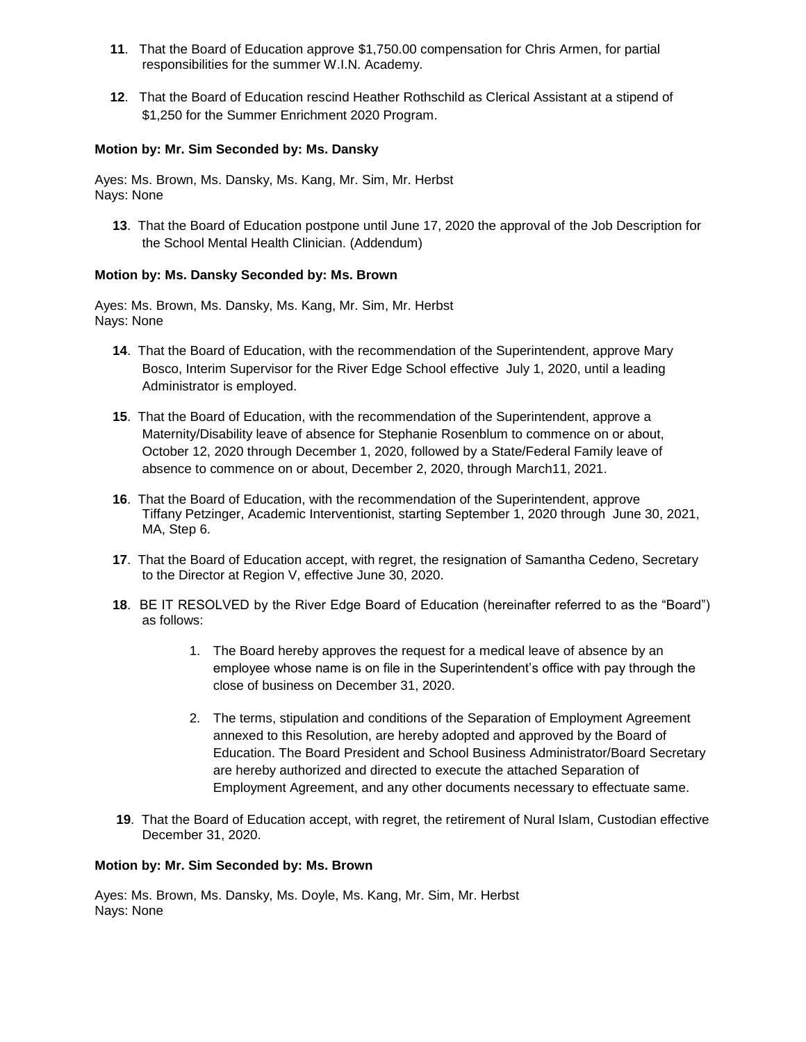- **11**. That the Board of Education approve \$1,750.00 compensation for Chris Armen, for partial responsibilities for the summer W.I.N. Academy.
- **12**. That the Board of Education rescind Heather Rothschild as Clerical Assistant at a stipend of \$1,250 for the Summer Enrichment 2020 Program.

# **Motion by: Mr. Sim Seconded by: Ms. Dansky**

Ayes: Ms. Brown, Ms. Dansky, Ms. Kang, Mr. Sim, Mr. Herbst Nays: None

**13**. That the Board of Education postpone until June 17, 2020 the approval of the Job Description for the School Mental Health Clinician. (Addendum)

# **Motion by: Ms. Dansky Seconded by: Ms. Brown**

Ayes: Ms. Brown, Ms. Dansky, Ms. Kang, Mr. Sim, Mr. Herbst Nays: None

- **14**. That the Board of Education, with the recommendation of the Superintendent, approve Mary Bosco, Interim Supervisor for the River Edge School effective July 1, 2020, until a leading Administrator is employed.
- **15**. That the Board of Education, with the recommendation of the Superintendent, approve a Maternity/Disability leave of absence for Stephanie Rosenblum to commence on or about, October 12, 2020 through December 1, 2020, followed by a State/Federal Family leave of absence to commence on or about, December 2, 2020, through March11, 2021.
- **16**. That the Board of Education, with the recommendation of the Superintendent, approve Tiffany Petzinger, Academic Interventionist, starting September 1, 2020 through June 30, 2021, MA, Step 6.
- **17**. That the Board of Education accept, with regret, the resignation of Samantha Cedeno, Secretary to the Director at Region V, effective June 30, 2020.
- **18**. BE IT RESOLVED by the River Edge Board of Education (hereinafter referred to as the "Board") as follows:
	- 1. The Board hereby approves the request for a medical leave of absence by an employee whose name is on file in the Superintendent's office with pay through the close of business on December 31, 2020.
	- 2. The terms, stipulation and conditions of the Separation of Employment Agreement annexed to this Resolution, are hereby adopted and approved by the Board of Education. The Board President and School Business Administrator/Board Secretary are hereby authorized and directed to execute the attached Separation of Employment Agreement, and any other documents necessary to effectuate same.
- **19**. That the Board of Education accept, with regret, the retirement of Nural Islam, Custodian effective December 31, 2020.

### **Motion by: Mr. Sim Seconded by: Ms. Brown**

Ayes: Ms. Brown, Ms. Dansky, Ms. Doyle, Ms. Kang, Mr. Sim, Mr. Herbst Nays: None